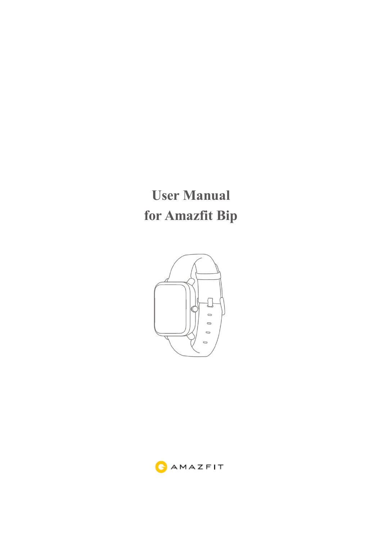# **User Manual for Amazfit Bip**



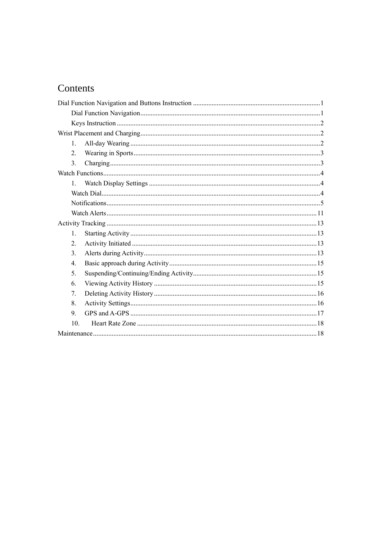# Contents

| $\mathbf{1}$ .   |  |  |
|------------------|--|--|
| 2.               |  |  |
| 3.               |  |  |
|                  |  |  |
| $1_{-}$          |  |  |
|                  |  |  |
|                  |  |  |
|                  |  |  |
|                  |  |  |
| 1.               |  |  |
| 2.               |  |  |
| 3.               |  |  |
| $\overline{4}$ . |  |  |
| 5.               |  |  |
| 6.               |  |  |
| 7.               |  |  |
| 8.               |  |  |
| 9.               |  |  |
| 10.              |  |  |
|                  |  |  |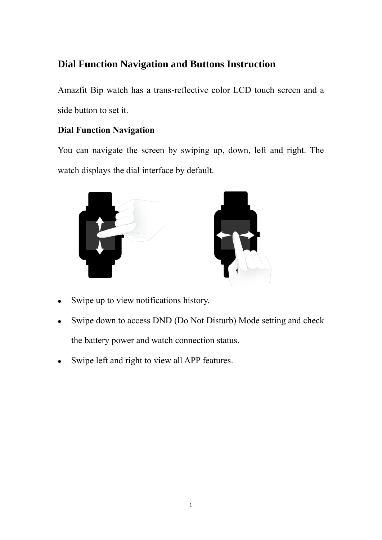# <span id="page-2-0"></span>**Dial Function Navigation and Buttons Instruction**

Amazfit Bip watch has a trans-reflective color LCD touch screen and a side button to set it.

# <span id="page-2-1"></span>**Dial Function Navigation**

You can navigate the screen by swiping up, down, left and right. The watch displays the dial interface by default.



- ⚫ Swipe up to view notifications history.
- Swipe down to access DND (Do Not Disturb) Mode setting and check the battery power and watch connection status.
- Swipe left and right to view all APP features.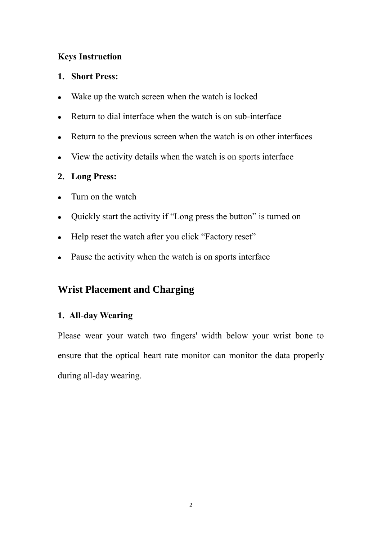## <span id="page-3-0"></span>**Keys Instruction**

## **1. Short Press:**

- Wake up the watch screen when the watch is locked
- ⚫ Return to dial interface when the watch is on sub-interface
- ⚫ Return to the previous screen when the watch is on other interfaces
- ⚫ View the activity details when the watch is on sports interface

## **2. Long Press:**

- ⚫ Turn on the watch
- ⚫ Quickly start the activity if "Long press the button" is turned on
- ⚫ Help reset the watch after you click "Factory reset"
- <span id="page-3-1"></span>• Pause the activity when the watch is on sports interface

# **Wrist Placement and Charging**

## <span id="page-3-2"></span>**1. All-day Wearing**

Please wear your watch two fingers' width below your wrist bone to ensure that the optical heart rate monitor can monitor the data properly during all-day wearing.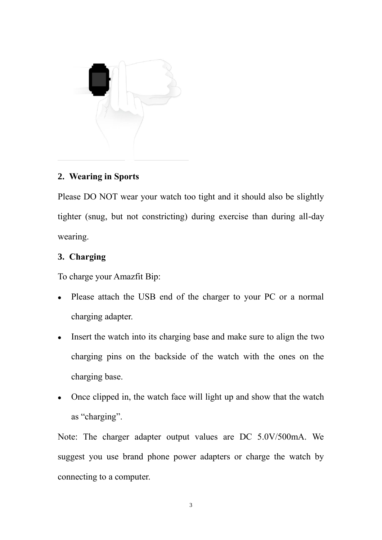

## <span id="page-4-0"></span>**2. Wearing in Sports**

Please DO NOT wear your watch too tight and it should also be slightly tighter (snug, but not constricting) during exercise than during all-day wearing.

## <span id="page-4-1"></span>**3. Charging**

To charge your Amazfit Bip:

- ⚫ Please attach the USB end of the charger to your PC or a normal charging adapter.
- Insert the watch into its charging base and make sure to align the two charging pins on the backside of the watch with the ones on the charging base.
- ⚫ Once clipped in, the watch face will light up and show that the watch as "charging".

Note: The charger adapter output values are DC 5.0V/500mA. We suggest you use brand phone power adapters or charge the watch by connecting to a computer.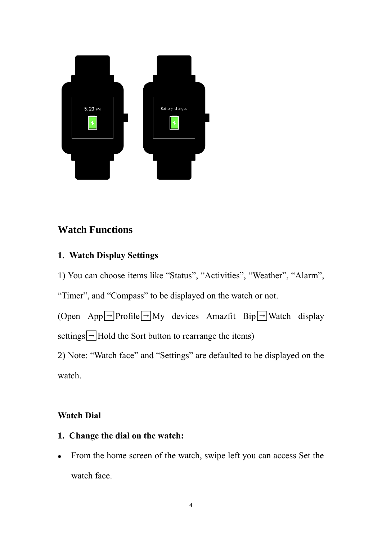

# <span id="page-5-0"></span>**Watch Functions**

## <span id="page-5-1"></span>**1. Watch Display Settings**

1) You can choose items like "Status", "Activities", "Weather", "Alarm",

"Timer", and "Compass" to be displayed on the watch or not.

(Open App $\Box$ Profile $\Box$ My devices Amazfit Bip $\Box$ Watch display settings $\Box$ Hold the Sort button to rearrange the items)

2) Note: "Watch face" and "Settings" are defaulted to be displayed on the watch.

# <span id="page-5-2"></span>**Watch Dial**

- **1. Change the dial on the watch:**
- ⚫ From the home screen of the watch, swipe left you can access Set the watch face.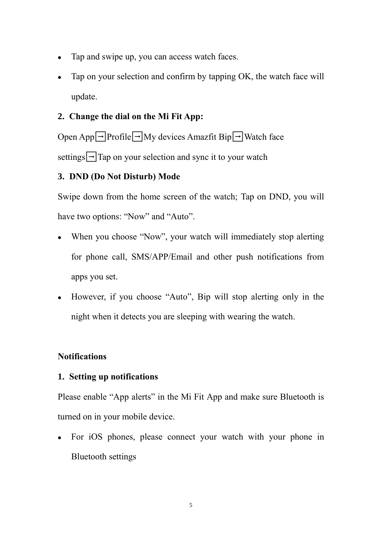- ⚫ Tap and swipe up, you can access watch faces.
- ⚫ Tap on your selection and confirm by tapping OK, the watch face will update.

## **2. Change the dial on the Mi Fit App:**

Open App $\Box$ Profile $\Box$ My devices Amazfit Bip $\Box$ Watch face settings $\boxed{\rightarrow}$ Tap on your selection and sync it to your watch

## **3. DND (Do Not Disturb) Mode**

Swipe down from the home screen of the watch; Tap on DND, you will have two options: "Now" and "Auto".

- When you choose "Now", your watch will immediately stop alerting for phone call, SMS/APP/Email and other push notifications from apps you set.
- ⚫ However, if you choose "Auto", Bip will stop alerting only in the night when it detects you are sleeping with wearing the watch.

## <span id="page-6-0"></span>**Notifications**

## **1. Setting up notifications**

Please enable "App alerts" in the Mi Fit App and make sure Bluetooth is turned on in your mobile device.

⚫ For iOS phones, please connect your watch with your phone in Bluetooth settings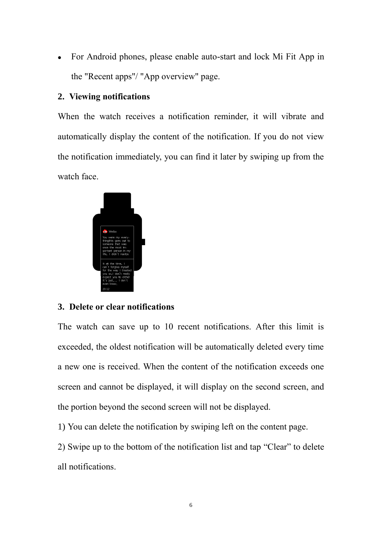⚫ For Android phones, please enable auto-start and lock Mi Fit App in the "Recent apps"/ "App overview" page.

## **2. Viewing notifications**

When the watch receives a notification reminder, it will vibrate and automatically display the content of the notification. If you do not view the notification immediately, you can find it later by swiping up from the watch face.



## **3. Delete or clear notifications**

The watch can save up to 10 recent notifications. After this limit is exceeded, the oldest notification will be automatically deleted every time a new one is received. When the content of the notification exceeds one screen and cannot be displayed, it will display on the second screen, and the portion beyond the second screen will not be displayed.

1) You can delete the notification by swiping left on the content page.

2) Swipe up to the bottom of the notification list and tap "Clear" to delete all notifications.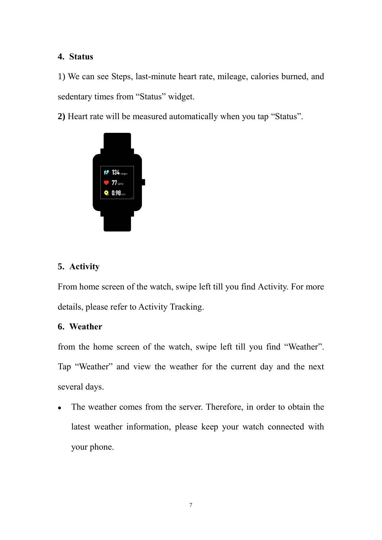## **4. Status**

1) We can see Steps, last-minute heart rate, mileage, calories burned, and sedentary times from "Status" widget.

**2)** Heart rate will be measured automatically when you tap "Status".



# **5. Activity**

From home screen of the watch, swipe left till you find Activity. For more details, please refer to Activity Tracking.

## **6. Weather**

from the home screen of the watch, swipe left till you find "Weather". Tap "Weather" and view the weather for the current day and the next several days.

⚫ The weather comes from the server. Therefore, in order to obtain the latest weather information, please keep your watch connected with your phone.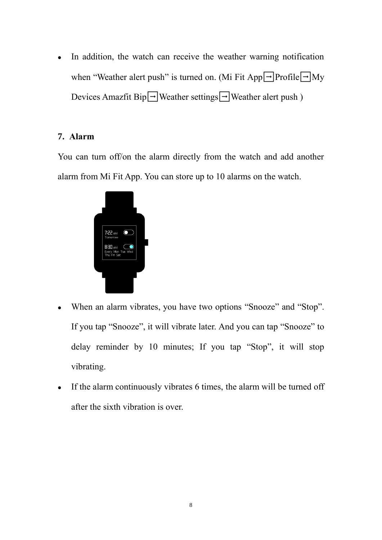• In addition, the watch can receive the weather warning notification when "Weather alert push" is turned on. (Mi Fit App $\boxed{\rightarrow}$ Profile $\boxed{\rightarrow}$ My Devices Amazfit Bip $\boxed{\rightarrow}$ Weather settings $\boxed{\rightarrow}$ Weather alert push)

## **7. Alarm**

You can turn off/on the alarm directly from the watch and add another alarm from Mi Fit App. You can store up to 10 alarms on the watch.



- ⚫ When an alarm vibrates, you have two options "Snooze" and "Stop". If you tap "Snooze", it will vibrate later. And you can tap "Snooze" to delay reminder by 10 minutes; If you tap "Stop", it will stop vibrating.
- $\bullet$  If the alarm continuously vibrates 6 times, the alarm will be turned off after the sixth vibration is over.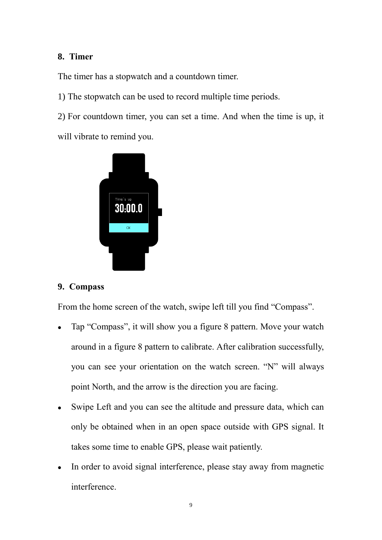## **8. Timer**

The timer has a stopwatch and a countdown timer.

1) The stopwatch can be used to record multiple time periods.

2) For countdown timer, you can set a time. And when the time is up, it

will vibrate to remind you.



## **9. Compass**

From the home screen of the watch, swipe left till you find "Compass".

- ⚫ Tap "Compass", it will show you a figure 8 pattern. Move your watch around in a figure 8 pattern to calibrate. After calibration successfully, you can see your orientation on the watch screen. "N" will always point North, and the arrow is the direction you are facing.
- Swipe Left and you can see the altitude and pressure data, which can only be obtained when in an open space outside with GPS signal. It takes some time to enable GPS, please wait patiently.
- In order to avoid signal interference, please stay away from magnetic interference.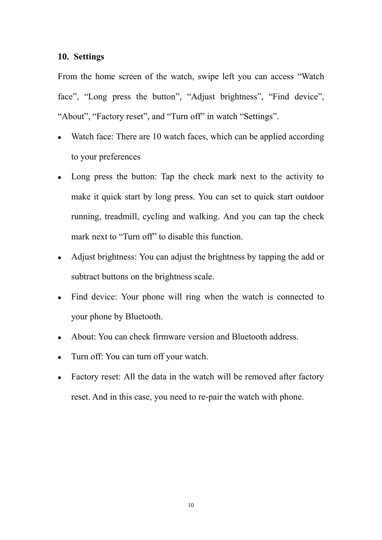#### **10. Settings**

From the home screen of the watch, swipe left you can access "Watch face", "Long press the button", "Adjust brightness", "Find device", "About", "Factory reset", and "Turn off" in watch "Settings".

- Watch face: There are 10 watch faces, which can be applied according to your preferences
- ⚫ Long press the button: Tap the check mark next to the activity to make it quick start by long press. You can set to quick start outdoor running, treadmill, cycling and walking. And you can tap the check mark next to "Turn off" to disable this function.
- Adjust brightness: You can adjust the brightness by tapping the add or subtract buttons on the brightness scale.
- ⚫ Find device: Your phone will ring when the watch is connected to your phone by Bluetooth.
- ⚫ About: You can check firmware version and Bluetooth address.
- ⚫ Turn off: You can turn off your watch.
- Factory reset: All the data in the watch will be removed after factory reset. And in this case, you need to re-pair the watch with phone.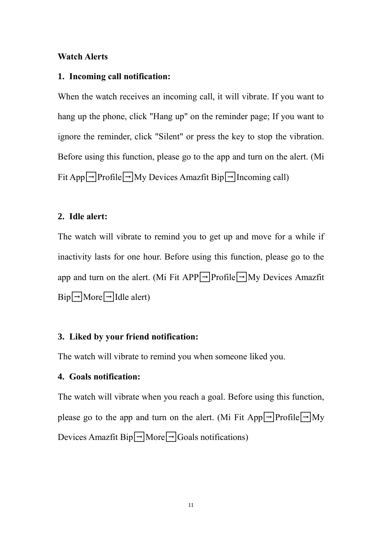#### <span id="page-12-0"></span>**Watch Alerts**

#### **1. Incoming call notification:**

When the watch receives an incoming call, it will vibrate. If you want to hang up the phone, click "Hang up" on the reminder page; If you want to ignore the reminder, click "Silent" or press the key to stop the vibration. Before using this function, please go to the app and turn on the alert. (Mi Fit App $\Box$ Profile $\Box$ My Devices Amazfit Bip $\Box$ Incoming call)

#### **2. Idle alert:**

The watch will vibrate to remind you to get up and move for a while if inactivity lasts for one hour. Before using this function, please go to the app and turn on the alert. (Mi Fit APP $\Box$ Profile $\Box$ My Devices Amazfit  $\text{Bip}\rightarrow\text{More}\rightarrow\text{Idle}$  alert)

## **3. Liked by your friend notification:**

The watch will vibrate to remind you when someone liked you.

#### **4. Goals notification:**

The watch will vibrate when you reach a goal. Before using this function, please go to the app and turn on the alert. (Mi Fit App $\Box$ Profile $\Box$ My Devices Amazfit  $\text{Bip}\rightarrow\text{More}\rightarrow\text{Goals}$  notifications)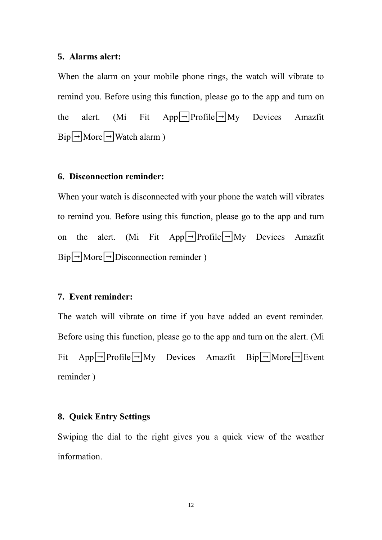#### **5. Alarms alert:**

When the alarm on your mobile phone rings, the watch will vibrate to remind you. Before using this function, please go to the app and turn on the alert. (Mi Fit App $\boxed{\rightarrow}$ Profile $\boxed{\rightarrow}$ My Devices Amazfit  $\text{Bip}\rightarrow\text{More}\rightarrow\text{Watch alarm}$ )

#### **6. Disconnection reminder:**

When your watch is disconnected with your phone the watch will vibrates to remind you. Before using this function, please go to the app and turn on the alert. (Mi Fit App $\Box$ Profile $\Box$ My Devices Amazfit  $\text{Bip}\rightarrow\text{More}\rightarrow\text{Disconnection reminder}$ )

#### **7. Event reminder:**

The watch will vibrate on time if you have added an event reminder. Before using this function, please go to the app and turn on the alert. (Mi Fit App $\boxed{\rightarrow}$ Profile $\boxed{\rightarrow}$ My Devices Amazfit Bip $\boxed{\rightarrow}$ More $\boxed{\rightarrow}$ Event reminder )

#### **8. Quick Entry Settings**

Swiping the dial to the right gives you a quick view of the weather information.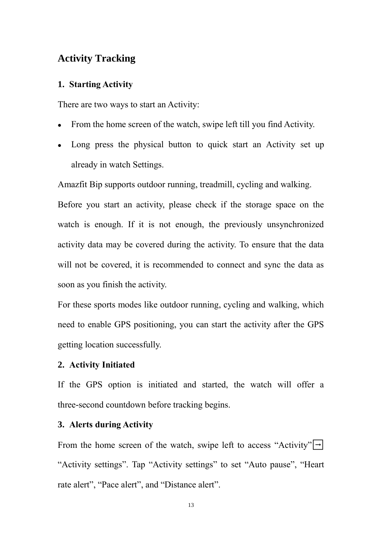## <span id="page-14-0"></span>**Activity Tracking**

#### <span id="page-14-1"></span>**1. Starting Activity**

There are two ways to start an Activity:

- ⚫ From the home screen of the watch, swipe left till you find Activity.
- Long press the physical button to quick start an Activity set up already in watch Settings.

Amazfit Bip supports outdoor running, treadmill, cycling and walking.

Before you start an activity, please check if the storage space on the watch is enough. If it is not enough, the previously unsynchronized activity data may be covered during the activity. To ensure that the data will not be covered, it is recommended to connect and sync the data as soon as you finish the activity.

For these sports modes like outdoor running, cycling and walking, which need to enable GPS positioning, you can start the activity after the GPS getting location successfully.

#### <span id="page-14-2"></span>**2. Activity Initiated**

If the GPS option is initiated and started, the watch will offer a three-second countdown before tracking begins.

#### <span id="page-14-3"></span>**3. Alerts during Activity**

From the home screen of the watch, swipe left to access "Activity" $\left| \rightarrow \right|$ "Activity settings". Tap "Activity settings" to set "Auto pause", "Heart rate alert", "Pace alert", and "Distance alert".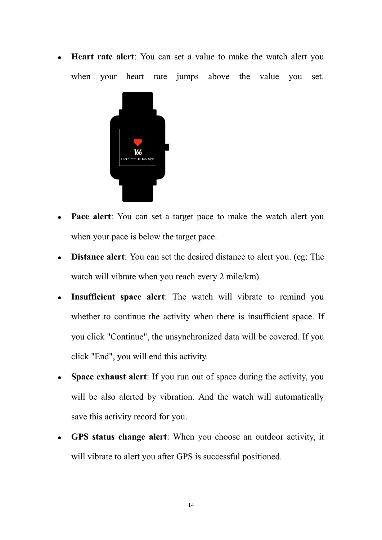**Heart rate alert:** You can set a value to make the watch alert you when your heart rate jumps above the value you set.



- **Pace alert:** You can set a target pace to make the watch alert you when your pace is below the target pace.
- ⚫ **Distance alert**: You can set the desired distance to alert you. (eg: The watch will vibrate when you reach every 2 mile/km)
- ⚫ **Insufficient space alert**: The watch will vibrate to remind you whether to continue the activity when there is insufficient space. If you click "Continue", the unsynchronized data will be covered. If you click "End", you will end this activity.
- ⚫ **Space exhaust alert**: If you run out of space during the activity, you will be also alerted by vibration. And the watch will automatically save this activity record for you.
- ⚫ **GPS status change alert**: When you choose an outdoor activity, it will vibrate to alert you after GPS is successful positioned.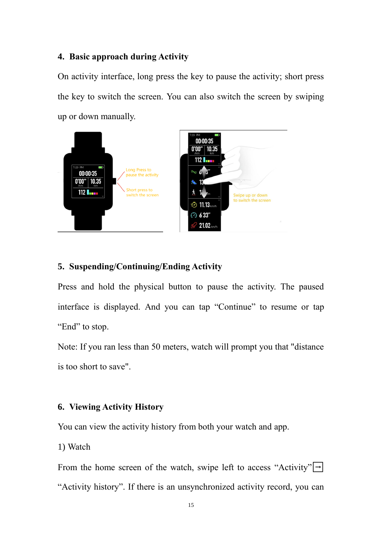#### <span id="page-16-0"></span>**4. Basic approach during Activity**

On activity interface, long press the key to pause the activity; short press the key to switch the screen. You can also switch the screen by swiping up or down manually.



## <span id="page-16-1"></span>**5. Suspending/Continuing/Ending Activity**

Press and hold the physical button to pause the activity. The paused interface is displayed. And you can tap "Continue" to resume or tap "End" to stop.

Note: If you ran less than 50 meters, watch will prompt you that "distance is too short to save".

#### <span id="page-16-2"></span>**6. Viewing Activity History**

You can view the activity history from both your watch and app.

1) Watch

From the home screen of the watch, swipe left to access "Activity" $\boxed{\rightarrow}$ "Activity history". If there is an unsynchronized activity record, you can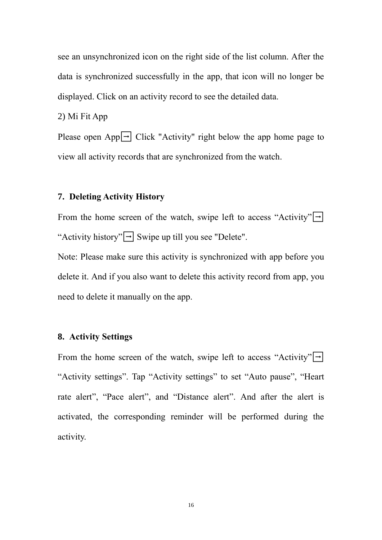see an unsynchronized icon on the right side of the list column. After the data is synchronized successfully in the app, that icon will no longer be displayed. Click on an activity record to see the detailed data.

2) Mi Fit App

Please open App $\boxed{\rightarrow}$  Click "Activity" right below the app home page to view all activity records that are synchronized from the watch.

#### <span id="page-17-0"></span>**7. Deleting Activity History**

From the home screen of the watch, swipe left to access "Activity" $\rightarrow$ "Activity history" $\boxed{\rightarrow}$  Swipe up till you see "Delete".

Note: Please make sure this activity is synchronized with app before you delete it. And if you also want to delete this activity record from app, you need to delete it manually on the app.

#### <span id="page-17-1"></span>**8. Activity Settings**

From the home screen of the watch, swipe left to access "Activity" $\boxed{\rightarrow}$ "Activity settings". Tap "Activity settings" to set "Auto pause", "Heart rate alert", "Pace alert", and "Distance alert". And after the alert is activated, the corresponding reminder will be performed during the activity.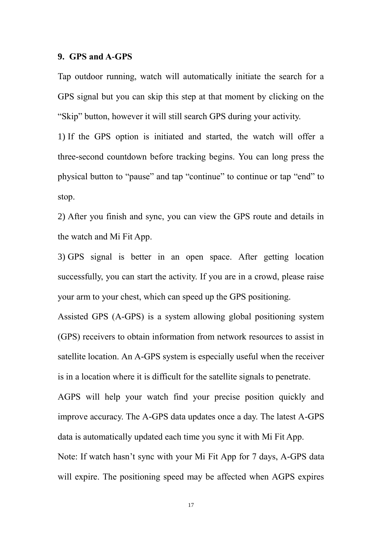#### <span id="page-18-0"></span>**9. GPS and A-GPS**

Tap outdoor running, watch will automatically initiate the search for a GPS signal but you can skip this step at that moment by clicking on the "Skip" button, however it will still search GPS during your activity.

1) If the GPS option is initiated and started, the watch will offer a three-second countdown before tracking begins. You can long press the physical button to "pause" and tap "continue" to continue or tap "end" to stop.

2) After you finish and sync, you can view the GPS route and details in the watch and Mi Fit App.

3) GPS signal is better in an open space. After getting location successfully, you can start the activity. If you are in a crowd, please raise your arm to your chest, which can speed up the GPS positioning.

Assisted GPS (A-GPS) is a system allowing global positioning system (GPS) receivers to obtain information from network resources to assist in satellite location. An A-GPS system is especially useful when the receiver is in a location where it is difficult for the satellite signals to penetrate.

AGPS will help your watch find your precise position quickly and improve accuracy. The A-GPS data updates once a day. The latest A-GPS data is automatically updated each time you sync it with Mi Fit App.

Note: If watch hasn't sync with your Mi Fit App for 7 days, A-GPS data will expire. The positioning speed may be affected when AGPS expires

17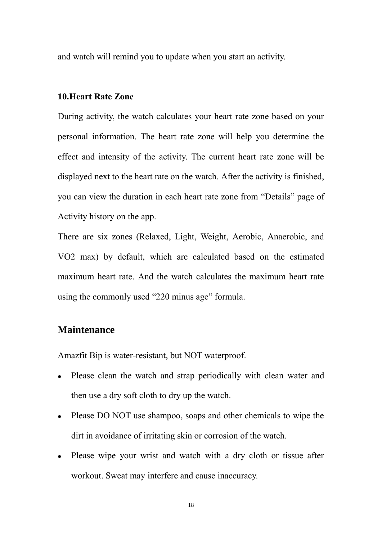and watch will remind you to update when you start an activity.

#### <span id="page-19-0"></span>**10.Heart Rate Zone**

During activity, the watch calculates your heart rate zone based on your personal information. The heart rate zone will help you determine the effect and intensity of the activity. The current heart rate zone will be displayed next to the heart rate on the watch. After the activity is finished, you can view the duration in each heart rate zone from "Details" page of Activity history on the app.

There are six zones (Relaxed, Light, Weight, Aerobic, Anaerobic, and VO2 max) by default, which are calculated based on the estimated maximum heart rate. And the watch calculates the maximum heart rate using the commonly used "220 minus age" formula.

#### <span id="page-19-1"></span>**Maintenance**

Amazfit Bip is water-resistant, but NOT waterproof.

- Please clean the watch and strap periodically with clean water and then use a dry soft cloth to dry up the watch.
- Please DO NOT use shampoo, soaps and other chemicals to wipe the dirt in avoidance of irritating skin or corrosion of the watch.
- ⚫ Please wipe your wrist and watch with a dry cloth or tissue after workout. Sweat may interfere and cause inaccuracy.